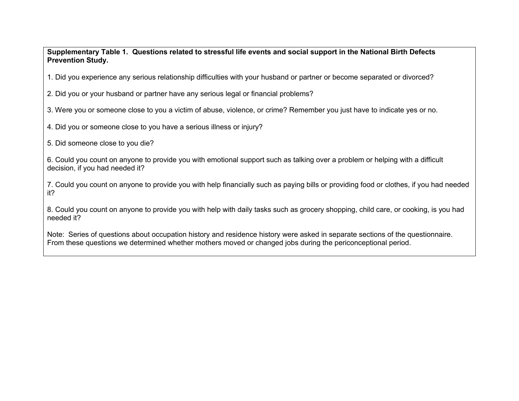**Supplementary Table 1. Questions related to stressful life events and social support in the National Birth Defects Prevention Study.**

1. Did you experience any serious relationship difficulties with your husband or partner or become separated or divorced?

2. Did you or your husband or partner have any serious legal or financial problems?

3. Were you or someone close to you a victim of abuse, violence, or crime? Remember you just have to indicate yes or no.

4. Did you or someone close to you have a serious illness or injury?

5. Did someone close to you die?

6. Could you count on anyone to provide you with emotional support such as talking over a problem or helping with a difficult decision, if you had needed it?

7. Could you count on anyone to provide you with help financially such as paying bills or providing food or clothes, if you had needed it?

8. Could you count on anyone to provide you with help with daily tasks such as grocery shopping, child care, or cooking, is you had needed it?

Note: Series of questions about occupation history and residence history were asked in separate sections of the questionnaire. From these questions we determined whether mothers moved or changed jobs during the periconceptional period.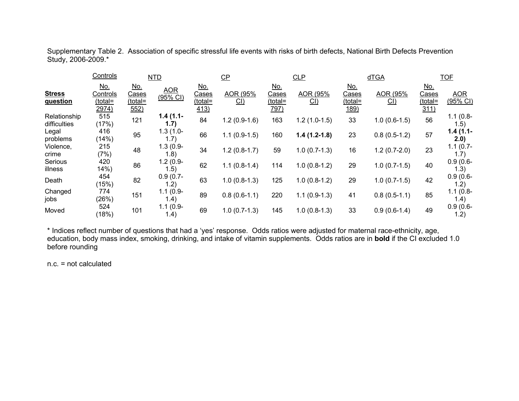Supplementary Table 2. Association of specific stressful life events with risks of birth defects, National Birth Defects Prevention Study, 2006-2009.\*

|                              | Controls                                   | <b>NTD</b>                                    |                          | $CP$                                   |                | CLP                                    |                | dTGA                                          |                | <b>TOF</b>                             |                        |
|------------------------------|--------------------------------------------|-----------------------------------------------|--------------------------|----------------------------------------|----------------|----------------------------------------|----------------|-----------------------------------------------|----------------|----------------------------------------|------------------------|
| <b>Stress</b><br>question    | <u>No.</u><br>Controls<br>(total=<br>2974) | <u>No.</u><br><u>Cases</u><br>(total=<br>552) | <b>AOR</b><br>$(95%$ CI) | <u>No.</u><br>Cases<br>(total=<br>413) | AOR (95%<br>CL | <u>No.</u><br>Cases<br>(total=<br>797) | AOR (95%<br>CL | <u>No.</u><br>Cases<br>(total=<br><u>189)</u> | AOR (95%<br>CL | <u>No.</u><br>Cases<br>(total=<br>311) | <b>AOR</b><br>(95% CI) |
| Relationship<br>difficulties | 515<br>(17%)                               | 121                                           | $1.4(1.1-$<br>(1.7)      | 84                                     | $1.2(0.9-1.6)$ | 163                                    | $1.2(1.0-1.5)$ | 33                                            | $1.0(0.6-1.5)$ | 56                                     | $1.1(0.8 -$<br>1.5)    |
| Legal<br>problems            | 416<br>(14%)                               | 95                                            | $1.3(1.0 -$<br>1.7)      | 66                                     | $1.1(0.9-1.5)$ | 160                                    | $1.4(1.2-1.8)$ | 23                                            | $0.8(0.5-1.2)$ | 57                                     | $1.4(1.1-$<br>2.0)     |
| Violence,<br>crime           | 215<br>(7%)                                | 48                                            | $1.3(0.9 -$<br>1.8)      | 34                                     | $1.2(0.8-1.7)$ | 59                                     | $1.0(0.7-1.3)$ | 16                                            | $1.2(0.7-2.0)$ | 23                                     | $1.1(0.7 -$<br>1.7)    |
| Serious<br>illness           | 420<br>14%                                 | 86                                            | $1.2(0.9-$<br>(1.5)      | 62                                     | $1.1(0.8-1.4)$ | 114                                    | $1.0(0.8-1.2)$ | 29                                            | $1.0(0.7-1.5)$ | 40                                     | $0.9(0.6 -$<br>1.3)    |
| Death                        | 454<br>(15%)                               | 82                                            | $0.9(0.7 -$<br>1.2)      | 63                                     | $1.0(0.8-1.3)$ | 125                                    | $1.0(0.8-1.2)$ | 29                                            | $1.0(0.7-1.5)$ | 42                                     | $0.9(0.6 -$<br>l.2)    |
| Changed<br>jobs              | 774<br>(26%)                               | 151                                           | $1.1(0.9 -$<br>1.4)      | 89                                     | $0.8(0.6-1.1)$ | 220                                    | $1.1(0.9-1.3)$ | 41                                            | $0.8(0.5-1.1)$ | 85                                     | $1.1(0.8 -$<br>1.4)    |
| Moved                        | 524<br>(18%)                               | 101                                           | $1.1(0.9 -$<br>1.4)      | 69                                     | $1.0(0.7-1.3)$ | 145                                    | $1.0(0.8-1.3)$ | 33                                            | $0.9(0.6-1.4)$ | 49                                     | $0.9(0.6 -$<br>1.2)    |

\* Indices reflect number of questions that had a 'yes' response. Odds ratios were adjusted for maternal race-ethnicity, age, education, body mass index, smoking, drinking, and intake of vitamin supplements. Odds ratios are in **bold** if the CI excluded 1.0 before rounding

n.c. = not calculated